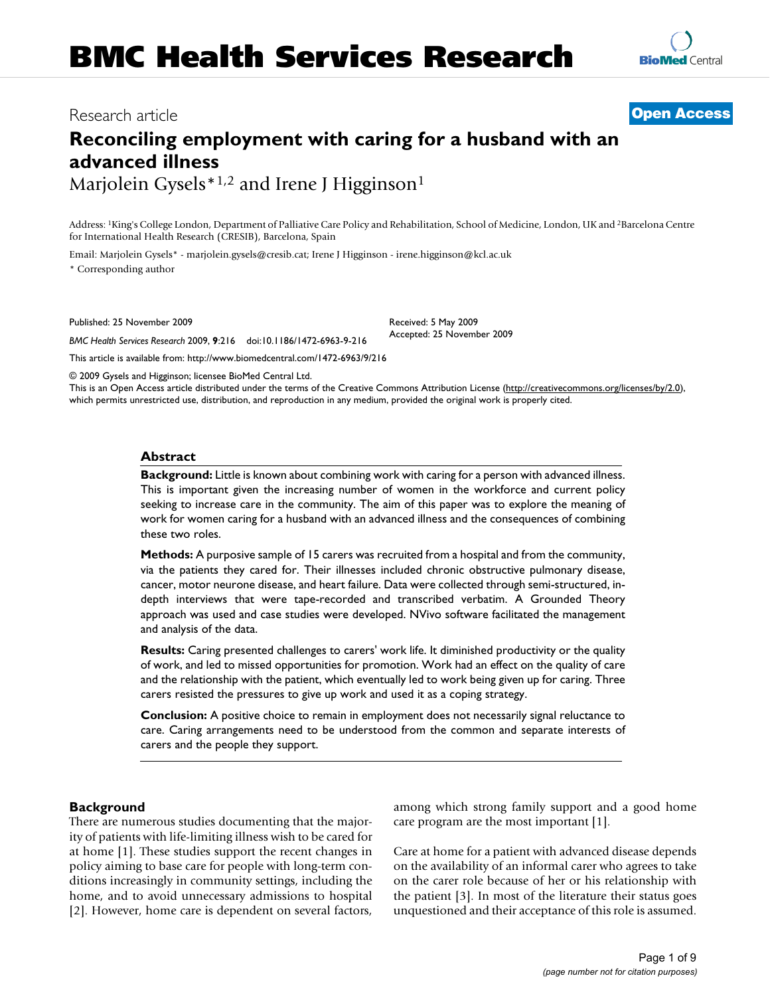# **Reconciling employment with caring for a husband with an advanced illness** Marjolein Gysels  $*1,2$  and Irene J Higginson<sup>1</sup>

Address: 1King's College London, Department of Palliative Care Policy and Rehabilitation, School of Medicine, London, UK and 2Barcelona Centre

for International Health Research (CRESIB), Barcelona, Spain

Email: Marjolein Gysels\* - marjolein.gysels@cresib.cat; Irene J Higginson - irene.higginson@kcl.ac.uk \* Corresponding author

Published: 25 November 2009

*BMC Health Services Research* 2009, **9**:216 doi:10.1186/1472-6963-9-216

[This article is available from: http://www.biomedcentral.com/1472-6963/9/216](http://www.biomedcentral.com/1472-6963/9/216)

© 2009 Gysels and Higginson; licensee BioMed Central Ltd.

This is an Open Access article distributed under the terms of the Creative Commons Attribution License [\(http://creativecommons.org/licenses/by/2.0\)](http://creativecommons.org/licenses/by/2.0), which permits unrestricted use, distribution, and reproduction in any medium, provided the original work is properly cited.

## **Abstract**

**Background:** Little is known about combining work with caring for a person with advanced illness. This is important given the increasing number of women in the workforce and current policy seeking to increase care in the community. The aim of this paper was to explore the meaning of work for women caring for a husband with an advanced illness and the consequences of combining these two roles.

**Methods:** A purposive sample of 15 carers was recruited from a hospital and from the community, via the patients they cared for. Their illnesses included chronic obstructive pulmonary disease, cancer, motor neurone disease, and heart failure. Data were collected through semi-structured, indepth interviews that were tape-recorded and transcribed verbatim. A Grounded Theory approach was used and case studies were developed. NVivo software facilitated the management and analysis of the data.

**Results:** Caring presented challenges to carers' work life. It diminished productivity or the quality of work, and led to missed opportunities for promotion. Work had an effect on the quality of care and the relationship with the patient, which eventually led to work being given up for caring. Three carers resisted the pressures to give up work and used it as a coping strategy.

**Conclusion:** A positive choice to remain in employment does not necessarily signal reluctance to care. Caring arrangements need to be understood from the common and separate interests of carers and the people they support.

# **Background**

There are numerous studies documenting that the majority of patients with life-limiting illness wish to be cared for at home [1]. These studies support the recent changes in policy aiming to base care for people with long-term conditions increasingly in community settings, including the home, and to avoid unnecessary admissions to hospital [2]. However, home care is dependent on several factors, among which strong family support and a good home care program are the most important [1].

Care at home for a patient with advanced disease depends on the availability of an informal carer who agrees to take on the carer role because of her or his relationship with the patient [3]. In most of the literature their status goes unquestioned and their acceptance of this role is assumed.



# Research article **[Open Access](http://www.biomedcentral.com/info/about/charter/)**

Received: 5 May 2009 Accepted: 25 November 2009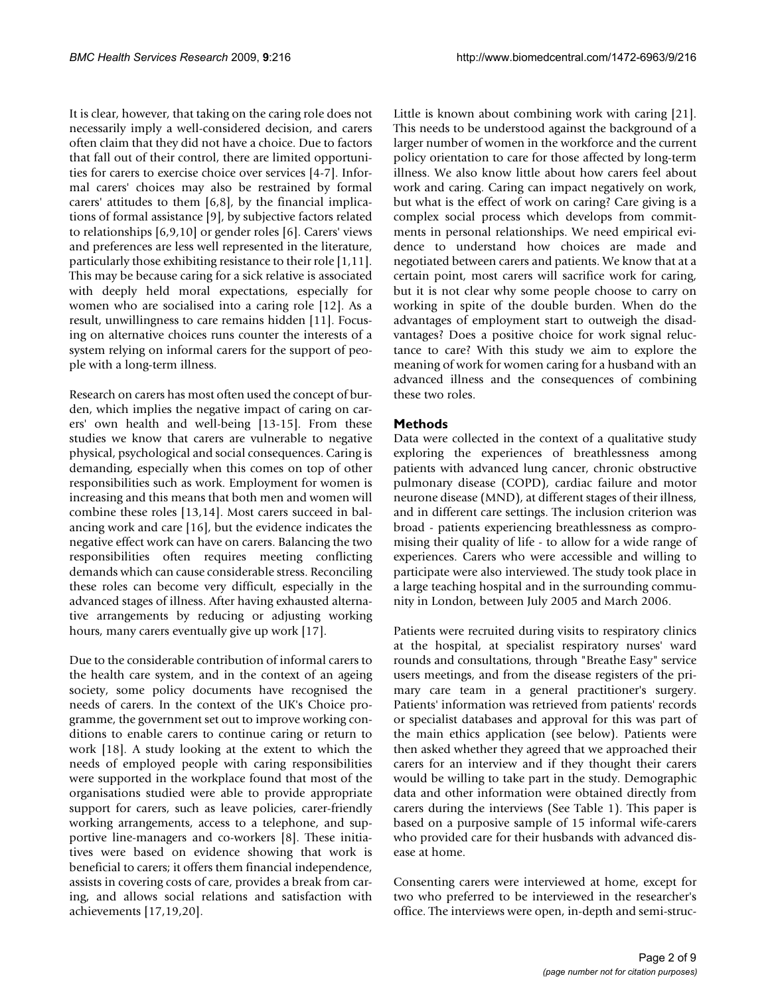It is clear, however, that taking on the caring role does not necessarily imply a well-considered decision, and carers often claim that they did not have a choice. Due to factors that fall out of their control, there are limited opportunities for carers to exercise choice over services [4-7]. Informal carers' choices may also be restrained by formal carers' attitudes to them [6,8], by the financial implications of formal assistance [9], by subjective factors related to relationships [6,9,10] or gender roles [6]. Carers' views and preferences are less well represented in the literature, particularly those exhibiting resistance to their role [1,11]. This may be because caring for a sick relative is associated with deeply held moral expectations, especially for women who are socialised into a caring role [12]. As a result, unwillingness to care remains hidden [11]. Focusing on alternative choices runs counter the interests of a system relying on informal carers for the support of people with a long-term illness.

Research on carers has most often used the concept of burden, which implies the negative impact of caring on carers' own health and well-being [13-15]. From these studies we know that carers are vulnerable to negative physical, psychological and social consequences. Caring is demanding, especially when this comes on top of other responsibilities such as work. Employment for women is increasing and this means that both men and women will combine these roles [13,14]. Most carers succeed in balancing work and care [16], but the evidence indicates the negative effect work can have on carers. Balancing the two responsibilities often requires meeting conflicting demands which can cause considerable stress. Reconciling these roles can become very difficult, especially in the advanced stages of illness. After having exhausted alternative arrangements by reducing or adjusting working hours, many carers eventually give up work [17].

Due to the considerable contribution of informal carers to the health care system, and in the context of an ageing society, some policy documents have recognised the needs of carers. In the context of the UK's Choice programme, the government set out to improve working conditions to enable carers to continue caring or return to work [18]. A study looking at the extent to which the needs of employed people with caring responsibilities were supported in the workplace found that most of the organisations studied were able to provide appropriate support for carers, such as leave policies, carer-friendly working arrangements, access to a telephone, and supportive line-managers and co-workers [8]. These initiatives were based on evidence showing that work is beneficial to carers; it offers them financial independence, assists in covering costs of care, provides a break from caring, and allows social relations and satisfaction with achievements [17,19,20].

Little is known about combining work with caring [21]. This needs to be understood against the background of a larger number of women in the workforce and the current policy orientation to care for those affected by long-term illness. We also know little about how carers feel about work and caring. Caring can impact negatively on work, but what is the effect of work on caring? Care giving is a complex social process which develops from commitments in personal relationships. We need empirical evidence to understand how choices are made and negotiated between carers and patients. We know that at a certain point, most carers will sacrifice work for caring, but it is not clear why some people choose to carry on working in spite of the double burden. When do the advantages of employment start to outweigh the disadvantages? Does a positive choice for work signal reluctance to care? With this study we aim to explore the meaning of work for women caring for a husband with an advanced illness and the consequences of combining these two roles.

# **Methods**

Data were collected in the context of a qualitative study exploring the experiences of breathlessness among patients with advanced lung cancer, chronic obstructive pulmonary disease (COPD), cardiac failure and motor neurone disease (MND), at different stages of their illness, and in different care settings. The inclusion criterion was broad - patients experiencing breathlessness as compromising their quality of life - to allow for a wide range of experiences. Carers who were accessible and willing to participate were also interviewed. The study took place in a large teaching hospital and in the surrounding community in London, between July 2005 and March 2006.

Patients were recruited during visits to respiratory clinics at the hospital, at specialist respiratory nurses' ward rounds and consultations, through "Breathe Easy" service users meetings, and from the disease registers of the primary care team in a general practitioner's surgery. Patients' information was retrieved from patients' records or specialist databases and approval for this was part of the main ethics application (see below). Patients were then asked whether they agreed that we approached their carers for an interview and if they thought their carers would be willing to take part in the study. Demographic data and other information were obtained directly from carers during the interviews (See Table 1). This paper is based on a purposive sample of 15 informal wife-carers who provided care for their husbands with advanced disease at home.

Consenting carers were interviewed at home, except for two who preferred to be interviewed in the researcher's office. The interviews were open, in-depth and semi-struc-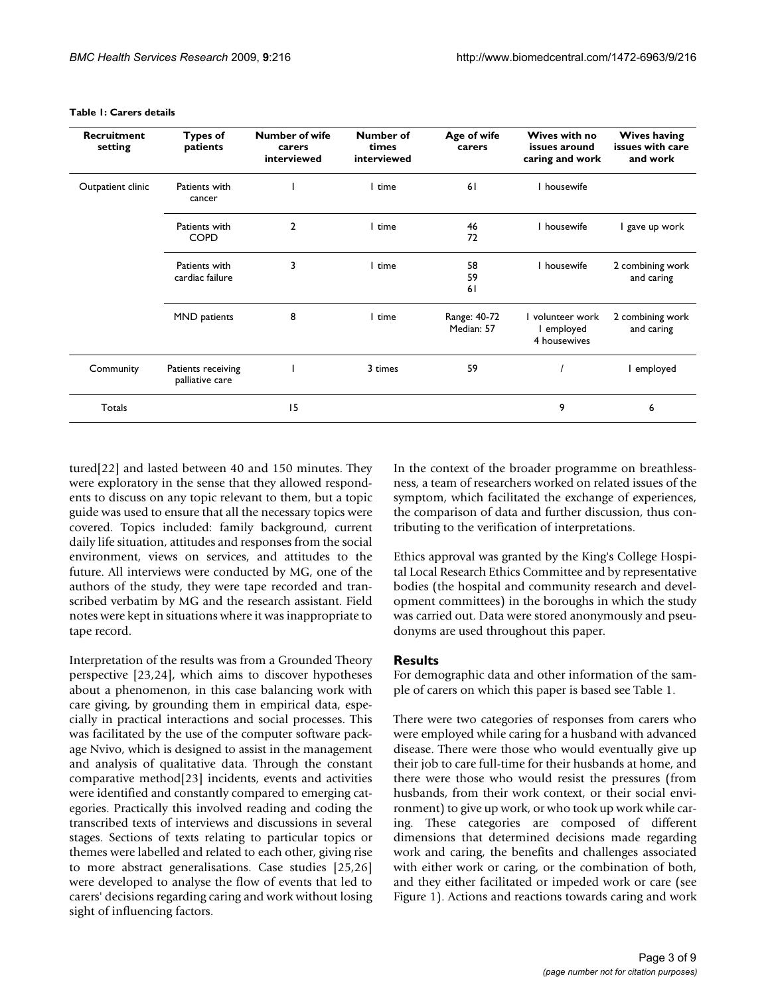| Recruitment<br>setting | Types of<br>patients                  | <b>Number of wife</b><br>carers<br>interviewed | Number of<br>times<br>interviewed | Age of wife<br>carers      | Wives with no<br>issues around<br>caring and work | <b>Wives having</b><br>issues with care<br>and work |
|------------------------|---------------------------------------|------------------------------------------------|-----------------------------------|----------------------------|---------------------------------------------------|-----------------------------------------------------|
| Outpatient clinic      | Patients with<br>cancer               |                                                | time                              | 6 I                        | I housewife                                       |                                                     |
|                        | Patients with<br><b>COPD</b>          | $\overline{2}$                                 | l time                            | 46<br>72                   | I housewife                                       | I gave up work                                      |
|                        | Patients with<br>cardiac failure      | 3                                              | I time                            | 58<br>59<br>61             | I housewife                                       | 2 combining work<br>and caring                      |
|                        | MND patients                          | 8                                              | I time                            | Range: 40-72<br>Median: 57 | I volunteer work<br>employed<br>4 housewives      | 2 combining work<br>and caring                      |
| Community              | Patients receiving<br>palliative care |                                                | 3 times                           | 59                         |                                                   | I employed                                          |
| Totals                 |                                       | 15                                             |                                   |                            | 9                                                 | 6                                                   |

#### **Table 1: Carers details**

tured[22] and lasted between 40 and 150 minutes. They were exploratory in the sense that they allowed respondents to discuss on any topic relevant to them, but a topic guide was used to ensure that all the necessary topics were covered. Topics included: family background, current daily life situation, attitudes and responses from the social environment, views on services, and attitudes to the future. All interviews were conducted by MG, one of the authors of the study, they were tape recorded and transcribed verbatim by MG and the research assistant. Field notes were kept in situations where it was inappropriate to tape record.

Interpretation of the results was from a Grounded Theory perspective [23,24], which aims to discover hypotheses about a phenomenon, in this case balancing work with care giving, by grounding them in empirical data, especially in practical interactions and social processes. This was facilitated by the use of the computer software package Nvivo, which is designed to assist in the management and analysis of qualitative data. Through the constant comparative method[23] incidents, events and activities were identified and constantly compared to emerging categories. Practically this involved reading and coding the transcribed texts of interviews and discussions in several stages. Sections of texts relating to particular topics or themes were labelled and related to each other, giving rise to more abstract generalisations. Case studies [25,26] were developed to analyse the flow of events that led to carers' decisions regarding caring and work without losing sight of influencing factors.

In the context of the broader programme on breathlessness, a team of researchers worked on related issues of the symptom, which facilitated the exchange of experiences, the comparison of data and further discussion, thus contributing to the verification of interpretations.

Ethics approval was granted by the King's College Hospital Local Research Ethics Committee and by representative bodies (the hospital and community research and development committees) in the boroughs in which the study was carried out. Data were stored anonymously and pseudonyms are used throughout this paper.

#### **Results**

For demographic data and other information of the sample of carers on which this paper is based see Table 1.

There were two categories of responses from carers who were employed while caring for a husband with advanced disease. There were those who would eventually give up their job to care full-time for their husbands at home, and there were those who would resist the pressures (from husbands, from their work context, or their social environment) to give up work, or who took up work while caring. These categories are composed of different dimensions that determined decisions made regarding work and caring, the benefits and challenges associated with either work or caring, or the combination of both, and they either facilitated or impeded work or care (see Figure 1). Actions and reactions towards caring and work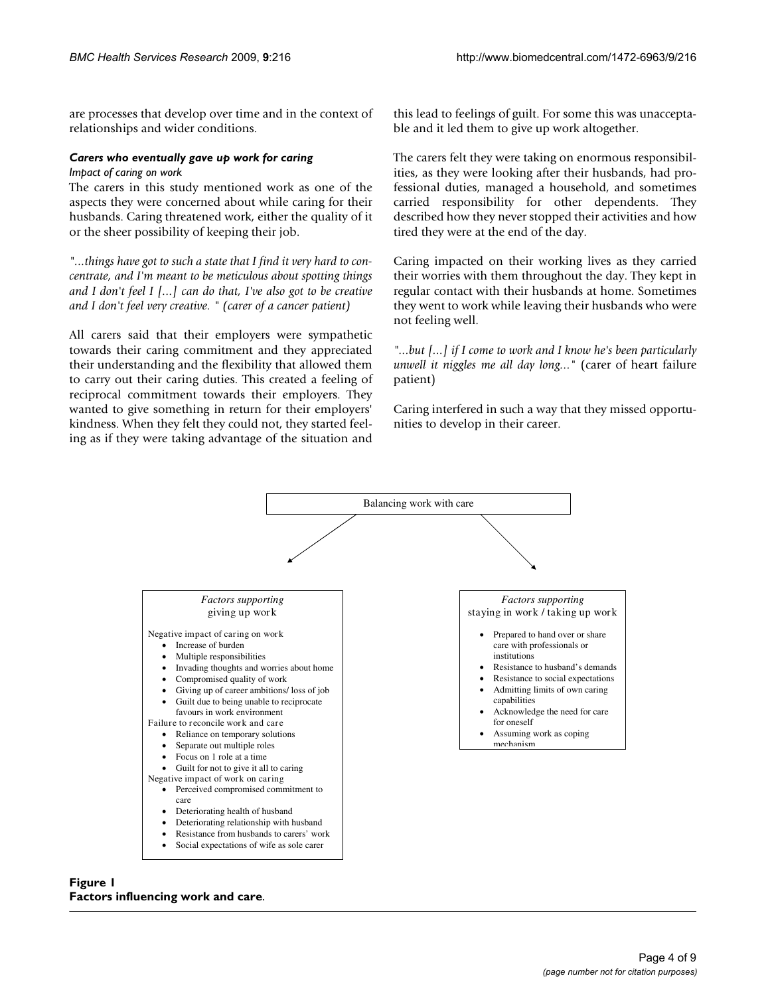are processes that develop over time and in the context of relationships and wider conditions.

### *Carers who eventually gave up work for caring Impact of caring on work*

The carers in this study mentioned work as one of the aspects they were concerned about while caring for their husbands. Caring threatened work, either the quality of it or the sheer possibility of keeping their job.

*"...things have got to such a state that I find it very hard to concentrate, and I'm meant to be meticulous about spotting things and I don't feel I [...] can do that, I've also got to be creative and I don't feel very creative. " (carer of a cancer patient)*

All carers said that their employers were sympathetic towards their caring commitment and they appreciated their understanding and the flexibility that allowed them to carry out their caring duties. This created a feeling of reciprocal commitment towards their employers. They wanted to give something in return for their employers' kindness. When they felt they could not, they started feeling as if they were taking advantage of the situation and this lead to feelings of guilt. For some this was unacceptable and it led them to give up work altogether.

The carers felt they were taking on enormous responsibilities, as they were looking after their husbands, had professional duties, managed a household, and sometimes carried responsibility for other dependents. They described how they never stopped their activities and how tired they were at the end of the day.

Caring impacted on their working lives as they carried their worries with them throughout the day. They kept in regular contact with their husbands at home. Sometimes they went to work while leaving their husbands who were not feeling well.

*"...but [...] if I come to work and I know he's been particularly unwell it niggles me all day long..."* (carer of heart failure patient)

Caring interfered in such a way that they missed opportunities to develop in their career.



Figure 1 **Factors influencing work and care**.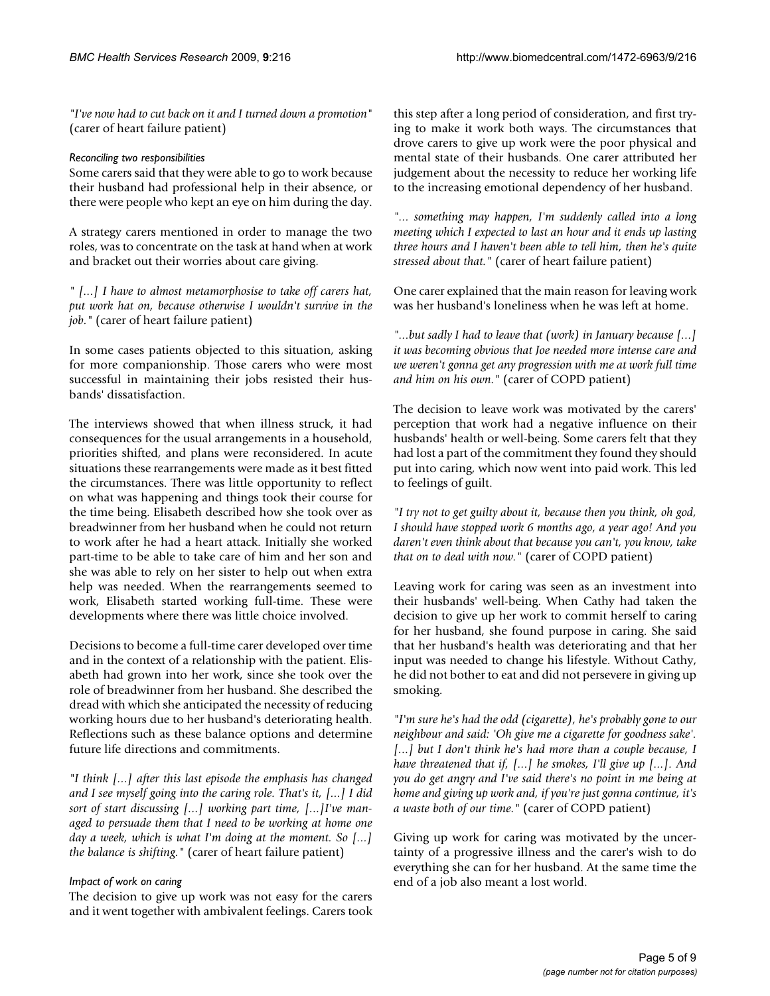*"I've now had to cut back on it and I turned down a promotion"* (carer of heart failure patient)

#### *Reconciling two responsibilities*

Some carers said that they were able to go to work because their husband had professional help in their absence, or there were people who kept an eye on him during the day.

A strategy carers mentioned in order to manage the two roles, was to concentrate on the task at hand when at work and bracket out their worries about care giving.

*" [...] I have to almost metamorphosise to take off carers hat, put work hat on, because otherwise I wouldn't survive in the job."* (carer of heart failure patient)

In some cases patients objected to this situation, asking for more companionship. Those carers who were most successful in maintaining their jobs resisted their husbands' dissatisfaction.

The interviews showed that when illness struck, it had consequences for the usual arrangements in a household, priorities shifted, and plans were reconsidered. In acute situations these rearrangements were made as it best fitted the circumstances. There was little opportunity to reflect on what was happening and things took their course for the time being. Elisabeth described how she took over as breadwinner from her husband when he could not return to work after he had a heart attack. Initially she worked part-time to be able to take care of him and her son and she was able to rely on her sister to help out when extra help was needed. When the rearrangements seemed to work, Elisabeth started working full-time. These were developments where there was little choice involved.

Decisions to become a full-time carer developed over time and in the context of a relationship with the patient. Elisabeth had grown into her work, since she took over the role of breadwinner from her husband. She described the dread with which she anticipated the necessity of reducing working hours due to her husband's deteriorating health. Reflections such as these balance options and determine future life directions and commitments.

*"I think [...] after this last episode the emphasis has changed and I see myself going into the caring role. That's it, [...] I did sort of start discussing [...] working part time, [...]I've managed to persuade them that I need to be working at home one day a week, which is what I'm doing at the moment. So [...] the balance is shifting."* (carer of heart failure patient)

### *Impact of work on caring*

The decision to give up work was not easy for the carers and it went together with ambivalent feelings. Carers took this step after a long period of consideration, and first trying to make it work both ways. The circumstances that drove carers to give up work were the poor physical and mental state of their husbands. One carer attributed her judgement about the necessity to reduce her working life to the increasing emotional dependency of her husband.

*"... something may happen, I'm suddenly called into a long meeting which I expected to last an hour and it ends up lasting three hours and I haven't been able to tell him, then he's quite stressed about that."* (carer of heart failure patient)

One carer explained that the main reason for leaving work was her husband's loneliness when he was left at home.

*"...but sadly I had to leave that (work) in January because [...] it was becoming obvious that Joe needed more intense care and we weren't gonna get any progression with me at work full time and him on his own."* (carer of COPD patient)

The decision to leave work was motivated by the carers' perception that work had a negative influence on their husbands' health or well-being. Some carers felt that they had lost a part of the commitment they found they should put into caring, which now went into paid work. This led to feelings of guilt.

*"I try not to get guilty about it, because then you think, oh god, I should have stopped work 6 months ago, a year ago! And you daren't even think about that because you can't, you know, take that on to deal with now."* (carer of COPD patient)

Leaving work for caring was seen as an investment into their husbands' well-being. When Cathy had taken the decision to give up her work to commit herself to caring for her husband, she found purpose in caring. She said that her husband's health was deteriorating and that her input was needed to change his lifestyle. Without Cathy, he did not bother to eat and did not persevere in giving up smoking.

*"I'm sure he's had the odd (cigarette), he's probably gone to our neighbour and said: 'Oh give me a cigarette for goodness sake'. [...] but I don't think he's had more than a couple because, I have threatened that if, [...] he smokes, I'll give up [...]. And you do get angry and I've said there's no point in me being at home and giving up work and, if you're just gonna continue, it's a waste both of our time."* (carer of COPD patient)

Giving up work for caring was motivated by the uncertainty of a progressive illness and the carer's wish to do everything she can for her husband. At the same time the end of a job also meant a lost world.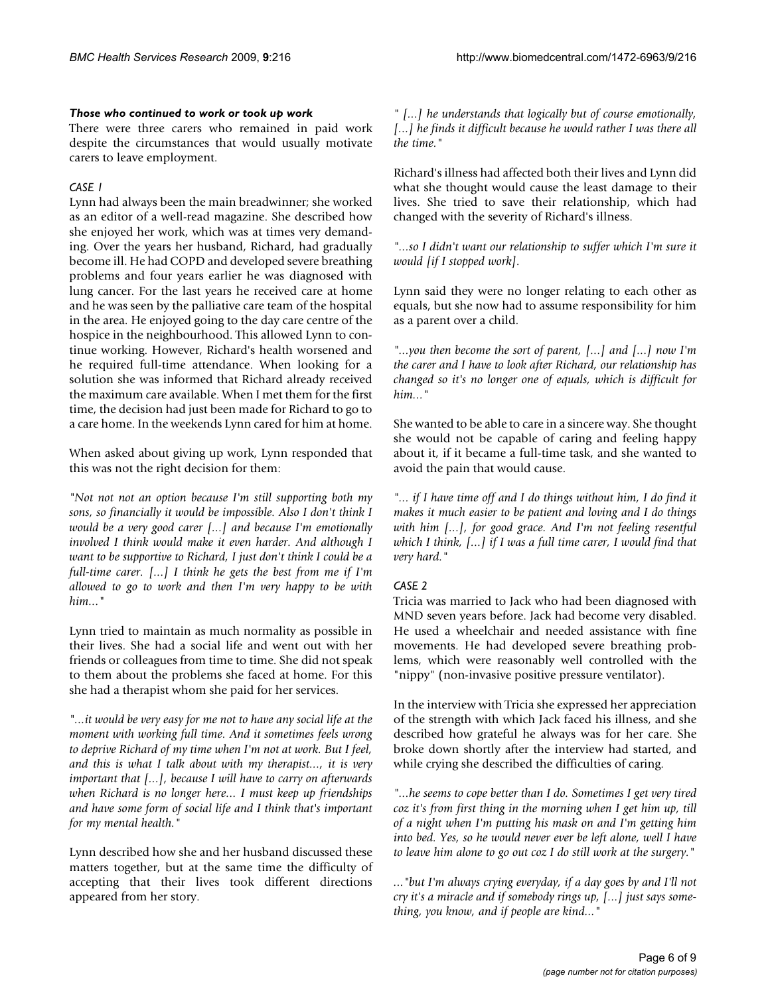## *Those who continued to work or took up work*

There were three carers who remained in paid work despite the circumstances that would usually motivate carers to leave employment.

# *CASE 1*

Lynn had always been the main breadwinner; she worked as an editor of a well-read magazine. She described how she enjoyed her work, which was at times very demanding. Over the years her husband, Richard, had gradually become ill. He had COPD and developed severe breathing problems and four years earlier he was diagnosed with lung cancer. For the last years he received care at home and he was seen by the palliative care team of the hospital in the area. He enjoyed going to the day care centre of the hospice in the neighbourhood. This allowed Lynn to continue working. However, Richard's health worsened and he required full-time attendance. When looking for a solution she was informed that Richard already received the maximum care available. When I met them for the first time, the decision had just been made for Richard to go to a care home. In the weekends Lynn cared for him at home.

When asked about giving up work, Lynn responded that this was not the right decision for them:

*"Not not not an option because I'm still supporting both my sons, so financially it would be impossible. Also I don't think I would be a very good carer [...] and because I'm emotionally involved I think would make it even harder. And although I want to be supportive to Richard, I just don't think I could be a full-time carer. [...] I think he gets the best from me if I'm allowed to go to work and then I'm very happy to be with him..."*

Lynn tried to maintain as much normality as possible in their lives. She had a social life and went out with her friends or colleagues from time to time. She did not speak to them about the problems she faced at home. For this she had a therapist whom she paid for her services.

*"...it would be very easy for me not to have any social life at the moment with working full time. And it sometimes feels wrong to deprive Richard of my time when I'm not at work. But I feel, and this is what I talk about with my therapist..., it is very important that [...], because I will have to carry on afterwards when Richard is no longer here... I must keep up friendships and have some form of social life and I think that's important for my mental health."*

Lynn described how she and her husband discussed these matters together, but at the same time the difficulty of accepting that their lives took different directions appeared from her story.

*" [...] he understands that logically but of course emotionally, [...] he finds it difficult because he would rather I was there all the time."*

Richard's illness had affected both their lives and Lynn did what she thought would cause the least damage to their lives. She tried to save their relationship, which had changed with the severity of Richard's illness.

*"...so I didn't want our relationship to suffer which I'm sure it would [if I stopped work].*

Lynn said they were no longer relating to each other as equals, but she now had to assume responsibility for him as a parent over a child.

*"...you then become the sort of parent, [...] and [...] now I'm the carer and I have to look after Richard, our relationship has changed so it's no longer one of equals, which is difficult for him..."*

She wanted to be able to care in a sincere way. She thought she would not be capable of caring and feeling happy about it, if it became a full-time task, and she wanted to avoid the pain that would cause.

*"... if I have time off and I do things without him, I do find it makes it much easier to be patient and loving and I do things with him [...], for good grace. And I'm not feeling resentful which I think, [...] if I was a full time carer, I would find that very hard."*

# *CASE 2*

Tricia was married to Jack who had been diagnosed with MND seven years before. Jack had become very disabled. He used a wheelchair and needed assistance with fine movements. He had developed severe breathing problems, which were reasonably well controlled with the "nippy" (non-invasive positive pressure ventilator).

In the interview with Tricia she expressed her appreciation of the strength with which Jack faced his illness, and she described how grateful he always was for her care. She broke down shortly after the interview had started, and while crying she described the difficulties of caring.

*"...he seems to cope better than I do. Sometimes I get very tired coz it's from first thing in the morning when I get him up, till of a night when I'm putting his mask on and I'm getting him into bed. Yes, so he would never ever be left alone, well I have to leave him alone to go out coz I do still work at the surgery."*

*..."but I'm always crying everyday, if a day goes by and I'll not cry it's a miracle and if somebody rings up, [...] just says something, you know, and if people are kind..."*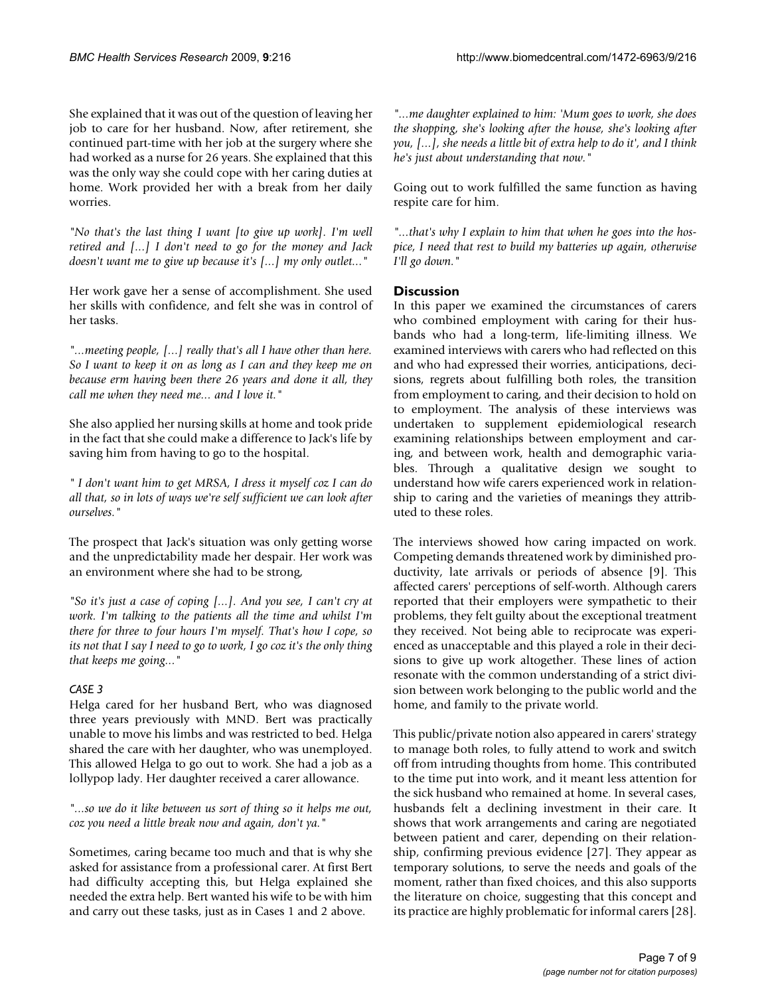She explained that it was out of the question of leaving her job to care for her husband. Now, after retirement, she continued part-time with her job at the surgery where she had worked as a nurse for 26 years. She explained that this was the only way she could cope with her caring duties at home. Work provided her with a break from her daily worries.

*"No that's the last thing I want [to give up work]. I'm well retired and [...] I don't need to go for the money and Jack doesn't want me to give up because it's [...] my only outlet..."*

Her work gave her a sense of accomplishment. She used her skills with confidence, and felt she was in control of her tasks.

*"...meeting people, [...] really that's all I have other than here. So I want to keep it on as long as I can and they keep me on because erm having been there 26 years and done it all, they call me when they need me... and I love it."*

She also applied her nursing skills at home and took pride in the fact that she could make a difference to Jack's life by saving him from having to go to the hospital.

*" I don't want him to get MRSA, I dress it myself coz I can do all that, so in lots of ways we're self sufficient we can look after ourselves."*

The prospect that Jack's situation was only getting worse and the unpredictability made her despair. Her work was an environment where she had to be strong,

*"So it's just a case of coping [...]. And you see, I can't cry at work. I'm talking to the patients all the time and whilst I'm there for three to four hours I'm myself. That's how I cope, so its not that I say I need to go to work, I go coz it's the only thing that keeps me going..."*

# *CASE 3*

Helga cared for her husband Bert, who was diagnosed three years previously with MND. Bert was practically unable to move his limbs and was restricted to bed. Helga shared the care with her daughter, who was unemployed. This allowed Helga to go out to work. She had a job as a lollypop lady. Her daughter received a carer allowance.

*"...so we do it like between us sort of thing so it helps me out, coz you need a little break now and again, don't ya."*

Sometimes, caring became too much and that is why she asked for assistance from a professional carer. At first Bert had difficulty accepting this, but Helga explained she needed the extra help. Bert wanted his wife to be with him and carry out these tasks, just as in Cases 1 and 2 above.

*"...me daughter explained to him: 'Mum goes to work, she does the shopping, she's looking after the house, she's looking after you, [...], she needs a little bit of extra help to do it', and I think he's just about understanding that now."*

Going out to work fulfilled the same function as having respite care for him.

*"...that's why I explain to him that when he goes into the hospice, I need that rest to build my batteries up again, otherwise I'll go down."*

# **Discussion**

In this paper we examined the circumstances of carers who combined employment with caring for their husbands who had a long-term, life-limiting illness. We examined interviews with carers who had reflected on this and who had expressed their worries, anticipations, decisions, regrets about fulfilling both roles, the transition from employment to caring, and their decision to hold on to employment. The analysis of these interviews was undertaken to supplement epidemiological research examining relationships between employment and caring, and between work, health and demographic variables. Through a qualitative design we sought to understand how wife carers experienced work in relationship to caring and the varieties of meanings they attributed to these roles.

The interviews showed how caring impacted on work. Competing demands threatened work by diminished productivity, late arrivals or periods of absence [9]. This affected carers' perceptions of self-worth. Although carers reported that their employers were sympathetic to their problems, they felt guilty about the exceptional treatment they received. Not being able to reciprocate was experienced as unacceptable and this played a role in their decisions to give up work altogether. These lines of action resonate with the common understanding of a strict division between work belonging to the public world and the home, and family to the private world.

This public/private notion also appeared in carers' strategy to manage both roles, to fully attend to work and switch off from intruding thoughts from home. This contributed to the time put into work, and it meant less attention for the sick husband who remained at home. In several cases, husbands felt a declining investment in their care. It shows that work arrangements and caring are negotiated between patient and carer, depending on their relationship, confirming previous evidence [27]. They appear as temporary solutions, to serve the needs and goals of the moment, rather than fixed choices, and this also supports the literature on choice, suggesting that this concept and its practice are highly problematic for informal carers [28].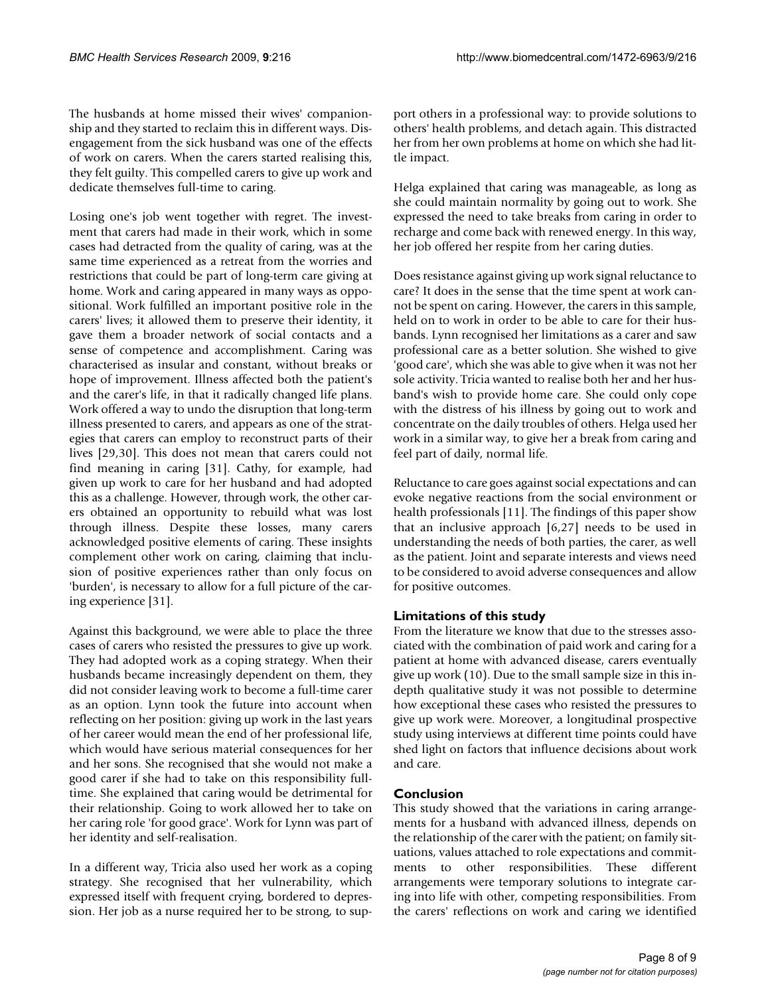The husbands at home missed their wives' companionship and they started to reclaim this in different ways. Disengagement from the sick husband was one of the effects of work on carers. When the carers started realising this, they felt guilty. This compelled carers to give up work and dedicate themselves full-time to caring.

Losing one's job went together with regret. The investment that carers had made in their work, which in some cases had detracted from the quality of caring, was at the same time experienced as a retreat from the worries and restrictions that could be part of long-term care giving at home. Work and caring appeared in many ways as oppositional. Work fulfilled an important positive role in the carers' lives; it allowed them to preserve their identity, it gave them a broader network of social contacts and a sense of competence and accomplishment. Caring was characterised as insular and constant, without breaks or hope of improvement. Illness affected both the patient's and the carer's life, in that it radically changed life plans. Work offered a way to undo the disruption that long-term illness presented to carers, and appears as one of the strategies that carers can employ to reconstruct parts of their lives [29,30]. This does not mean that carers could not find meaning in caring [31]. Cathy, for example, had given up work to care for her husband and had adopted this as a challenge. However, through work, the other carers obtained an opportunity to rebuild what was lost through illness. Despite these losses, many carers acknowledged positive elements of caring. These insights complement other work on caring, claiming that inclusion of positive experiences rather than only focus on 'burden', is necessary to allow for a full picture of the caring experience [31].

Against this background, we were able to place the three cases of carers who resisted the pressures to give up work. They had adopted work as a coping strategy. When their husbands became increasingly dependent on them, they did not consider leaving work to become a full-time carer as an option. Lynn took the future into account when reflecting on her position: giving up work in the last years of her career would mean the end of her professional life, which would have serious material consequences for her and her sons. She recognised that she would not make a good carer if she had to take on this responsibility fulltime. She explained that caring would be detrimental for their relationship. Going to work allowed her to take on her caring role 'for good grace'. Work for Lynn was part of her identity and self-realisation.

In a different way, Tricia also used her work as a coping strategy. She recognised that her vulnerability, which expressed itself with frequent crying, bordered to depression. Her job as a nurse required her to be strong, to support others in a professional way: to provide solutions to others' health problems, and detach again. This distracted her from her own problems at home on which she had little impact.

Helga explained that caring was manageable, as long as she could maintain normality by going out to work. She expressed the need to take breaks from caring in order to recharge and come back with renewed energy. In this way, her job offered her respite from her caring duties.

Does resistance against giving up work signal reluctance to care? It does in the sense that the time spent at work cannot be spent on caring. However, the carers in this sample, held on to work in order to be able to care for their husbands. Lynn recognised her limitations as a carer and saw professional care as a better solution. She wished to give 'good care', which she was able to give when it was not her sole activity. Tricia wanted to realise both her and her husband's wish to provide home care. She could only cope with the distress of his illness by going out to work and concentrate on the daily troubles of others. Helga used her work in a similar way, to give her a break from caring and feel part of daily, normal life.

Reluctance to care goes against social expectations and can evoke negative reactions from the social environment or health professionals [11]. The findings of this paper show that an inclusive approach [6,27] needs to be used in understanding the needs of both parties, the carer, as well as the patient. Joint and separate interests and views need to be considered to avoid adverse consequences and allow for positive outcomes.

# **Limitations of this study**

From the literature we know that due to the stresses associated with the combination of paid work and caring for a patient at home with advanced disease, carers eventually give up work (10). Due to the small sample size in this indepth qualitative study it was not possible to determine how exceptional these cases who resisted the pressures to give up work were. Moreover, a longitudinal prospective study using interviews at different time points could have shed light on factors that influence decisions about work and care.

# **Conclusion**

This study showed that the variations in caring arrangements for a husband with advanced illness, depends on the relationship of the carer with the patient; on family situations, values attached to role expectations and commitments to other responsibilities. These different arrangements were temporary solutions to integrate caring into life with other, competing responsibilities. From the carers' reflections on work and caring we identified